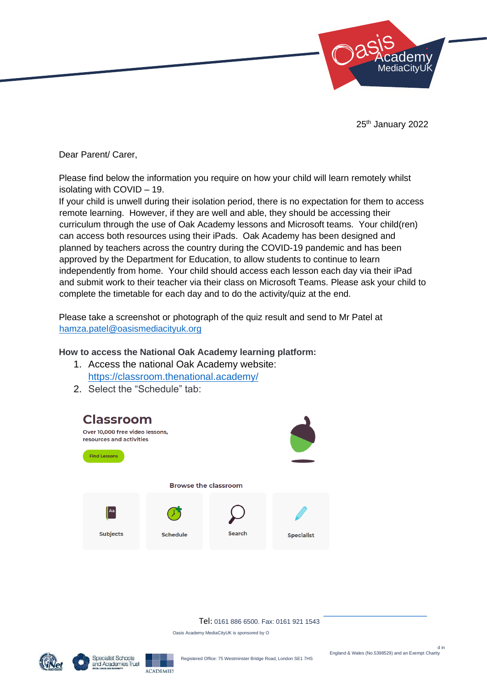

25<sup>th</sup> January 2022

Dear Parent/ Carer,

Please find below the information you require on how your child will learn remotely whilst isolating with COVID – 19.

If your child is unwell during their isolation period, there is no expectation for them to access remote learning. However, if they are well and able, they should be accessing their curriculum through the use of Oak Academy lessons and Microsoft teams. Your child(ren) can access both resources using their iPads. Oak Academy has been designed and planned by teachers across the country during the COVID-19 pandemic and has been approved by the Department for Education, to allow students to continue to learn independently from home. Your child should access each lesson each day via their iPad and submit work to their teacher via their class on Microsoft Teams. Please ask your child to complete the timetable for each day and to do the activity/quiz at the end.

Please take a screenshot or photograph of the quiz result and send to Mr Patel at [hamza.patel@oasismediacityuk.org](mailto:hamza.patel@oasismediacityuk.org)

## **How to access the National Oak Academy learning platform:**

- 1. Access the national Oak Academy website: <https://classroom.thenational.academy/>
- 2. Select the "Schedule" tab:



Tel: 0161 886 6500. Fax: 0161 921 1543

Oasis Academy MediaCityUK is sponsored by O



ACADEMIES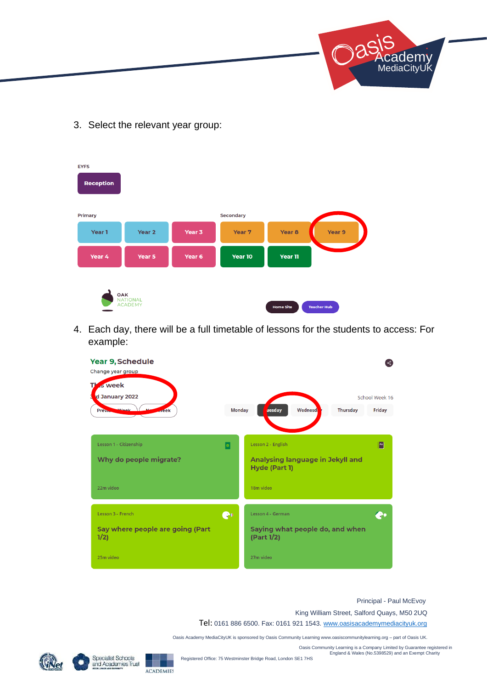

3. Select the relevant year group:

| <b>EYFS</b><br><b>Reception</b> |                                   |        |                  |                   |                    |
|---------------------------------|-----------------------------------|--------|------------------|-------------------|--------------------|
| <b>Primary</b>                  |                                   |        | <b>Secondary</b> |                   |                    |
| Year 1                          | Year <sub>2</sub>                 | Year 3 | Year 7           | Year <sub>8</sub> | Year 9             |
| Year 4                          | Year 5                            | Year 6 | Year 10          | Year 11           |                    |
| OAK                             | <b>NATIONAL</b><br><b>ACADEMY</b> |        |                  | <b>Home Site</b>  | <b>Teacher Hub</b> |

4. Each day, there will be a full timetable of lessons for the students to access: For example:



## Principal - Paul McEvoy

King William Street, Salford Quays, M50 2UQ

Tel: 0161 886 6500. Fax: 0161 921 1543. www.oasisacademymediacityuk.org

Oasis Academy MediaCityUK is sponsored by Oasis Community Learning www.oasiscommunitylearning.org – part of Oasis UK.

Oasis Community Learning is a Company Limited by Guarantee registered in England & Wales (No.5398529) and an Exempt Charity



**Specialist Schools** and Academies Trust

**ACADEMIES** 

Registered Office: 75 Westminster Bridge Road, London SE1 7HS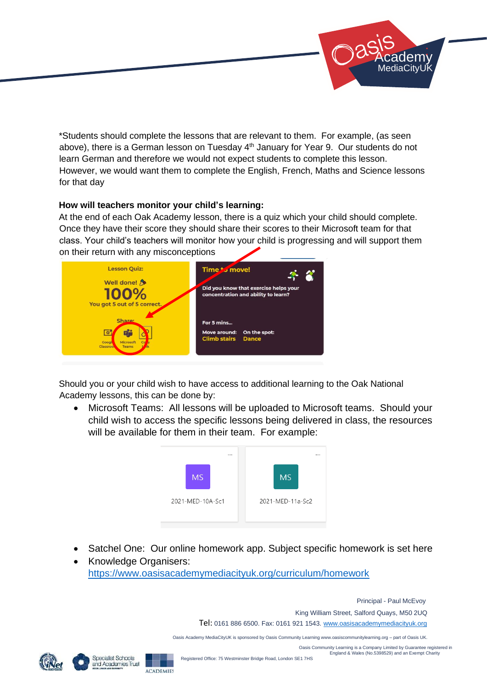

\*Students should complete the lessons that are relevant to them. For example, (as seen above), there is a German lesson on Tuesday 4<sup>th</sup> January for Year 9. Our students do not learn German and therefore we would not expect students to complete this lesson. However, we would want them to complete the English, French, Maths and Science lessons for that day

## **How will teachers monitor your child's learning:**

At the end of each Oak Academy lesson, there is a quiz which your child should complete. Once they have their score they should share their scores to their Microsoft team for that class. Your child's teachers will monitor how your child is progressing and will support them on their return with any misconceptions



Should you or your child wish to have access to additional learning to the Oak National Academy lessons, this can be done by:

• Microsoft Teams: All lessons will be uploaded to Microsoft teams. Should your child wish to access the specific lessons being delivered in class, the resources will be available for them in their team. For example:



- Satchel One: Our online homework app. Subject specific homework is set here
- Knowledge Organisers: <https://www.oasisacademymediacityuk.org/curriculum/homework>

Principal - Paul McEvoy

King William Street, Salford Quays, M50 2UQ

Tel: 0161 886 6500. Fax: 0161 921 1543. www.oasisacademymediacityuk.org

Oasis Academy MediaCityUK is sponsored by Oasis Community Learning www.oasiscommunitylearning.org – part of Oasis UK.

Oasis Community Learning is a Company Limited by Guarantee registered in England & Wales (No.5398529) and an Exempt Charity



**ACADEMIES**